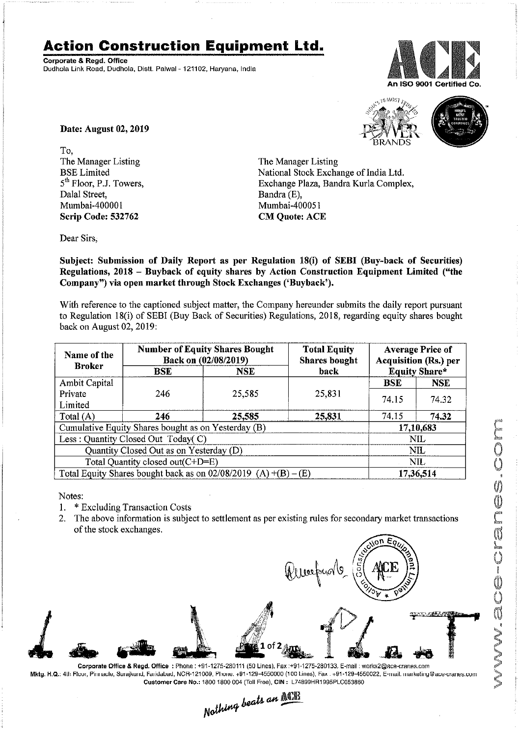## **Action Construction Equipment Ltd.**

Corporate & Regd. Office Dudhola Link Road, Dudhola, Distt. Palwal - 121102, Haryana, India



a MOSI



Date: August 02, 2019

To, The Manager Listing **BSE** Limited 5<sup>th</sup> Floor, P.J. Towers, Dalal Street. Mumbai-400001 Scrip Code: 532762

The Manager Listing National Stock Exchange of India Ltd. Exchange Plaza, Bandra Kurla Complex, Bandra (E), Mumbai-400051 **CM Quote: ACE** 

Dear Sirs,

Subject: Submission of Daily Report as per Regulation 18(i) of SEBI (Buy-back of Securities) Regulations, 2018 - Buyback of equity shares by Action Construction Equipment Limited ("the Company") via open market through Stock Exchanges ('Buyback').

With reference to the captioned subject matter, the Company hereunder submits the daily report pursuant to Regulation 18(i) of SEBI (Buy Back of Securities) Regulations, 2018, regarding equity shares bought back on August 02, 2019:

| Name of the<br><b>Broker</b>                                      | <b>Number of Equity Shares Bought</b><br>Back on (02/08/2019) |        | <b>Total Equity</b><br><b>Shares bought</b> | <b>Average Price of</b><br><b>Acquisition (Rs.) per</b> |            |
|-------------------------------------------------------------------|---------------------------------------------------------------|--------|---------------------------------------------|---------------------------------------------------------|------------|
|                                                                   | <b>NSE</b><br>BSE                                             |        | back                                        | <b>Equity Share*</b>                                    |            |
| Ambit Capital                                                     |                                                               |        |                                             | <b>BSE</b>                                              | <b>NSE</b> |
| Private                                                           | 246                                                           | 25,585 | 25,831                                      | 74.15                                                   | 74.32      |
| Limited                                                           |                                                               |        |                                             |                                                         |            |
| Total $(A)$                                                       | 246                                                           | 25,585 | 25,831                                      | 74.15                                                   | 74.32      |
| Cumulative Equity Shares bought as on Yesterday (B)               |                                                               |        |                                             | 17,10,683                                               |            |
| Less: Quantity Closed Out Today(C)                                |                                                               |        |                                             | <b>NIL</b>                                              |            |
| Quantity Closed Out as on Yesterday (D)                           |                                                               |        |                                             | NIL                                                     |            |
| Total Quantity closed out(C+D=E)                                  |                                                               |        |                                             | <b>NIL</b>                                              |            |
| Total Equity Shares bought back as on $02/08/2019$ (A) +(B) – (E) |                                                               |        |                                             | 17,36,514                                               |            |

Notes:

- \* Excluding Transaction Costs  $1<sub>1</sub>$
- 2. The above information is subject to settlement as per existing rules for secondary market transactions of the stock exchanges.



Mktg. H.Q.: 4th Flour, Pinnacle, Surajkund, Fandabad, NCR-121009, Phone. +91-129-4550000 (100 Lines), Fax . +91-129-4550022, E-mail. marketing@ace-crames.com Customer Care No.: 1800 1800 004 (Toll Free), CIN: L74899HR1995PLC053860 Nothing beats an **NOTE**